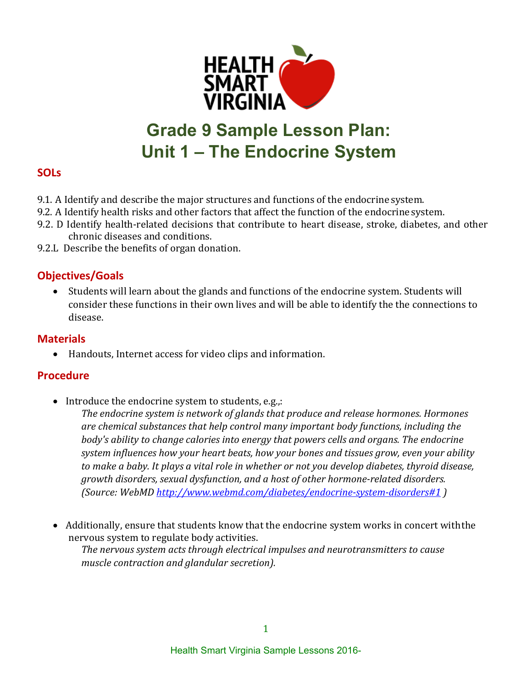

# **Grade 9 Sample Lesson Plan: Unit 1 – The Endocrine System**

## **SOLs**

- 9.1. A Identify and describe the major structures and functions of the endocrine system.
- 9.2. A Identify health risks and other factors that affect the function of the endocrinesystem.
- 9.2. D Identify health-related decisions that contribute to heart disease, stroke, diabetes, and other chronic diseases and conditions.
- 9.2.L Describe the benefits of organ donation.

## **Objectives/Goals**

• Students will learn about the glands and functions of the endocrine system. Students will consider these functions in their own lives and will be able to identify the the connections to disease.

#### **Materials**

• Handouts, Internet access for video clips and information.

### **Procedure**

• Introduce the endocrine system to students, e.g.,:

*The endocrine system is network of glands that produce and release hormones. Hormones are chemical substances that help control many important body functions, including the body's ability to change calories into energy that powers cells and organs. The endocrine system influences how your heart beats, how your bones and tissues grow, even your ability to make a baby. It plays a vital role in whether or not you develop diabetes, thyroid disease, growth disorders, sexual dysfunction, and a host of other hormone-related disorders. (Source: WebMD<http://www.webmd.com/diabetes/endocrine-system-disorders#1> )*

• Additionally, ensure that students know that the endocrine system works in concert withthe nervous system to regulate body activities.

*The nervous system acts through electrical impulses and neurotransmitters to cause muscle contraction and glandular secretion).*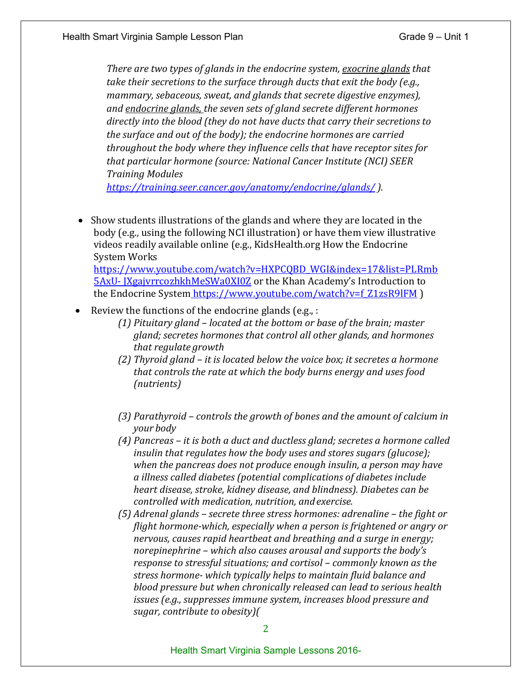*There are two types of glands in the endocrine system, exocrine glands that take their secretions to the surface through ducts that exit the body (e.g., mammary, sebaceous, sweat, and glands that secrete digestive enzymes), and endocrine glands, the seven sets of gland secrete different hormones directly into the blood (they do not have ducts that carry their secretions to the surface and out of the body); the endocrine hormones are carried throughout the body where they influence cells that have receptor sites for that particular hormone (source: National Cancer Institute (NCI) SEER Training Modules* 

*<https://training.seer.cancer.gov/anatomy/endocrine/glands/> ).*

• Show students illustrations of the glands and where they are located in the body (e.g., using the following NCI illustration) or have them view illustrative videos readily available online (e.g., KidsHealth.org How the Endocrine System Works

[https://www.youtube.com/watch?v=HXPCQBD\\_WGI&index=17&list=PLRmb](https://www.youtube.com/watch?v=HXPCQBD_WGI&index=17&list=PLRmb5AxU-JXgajvrrcozhkhMeSWa0XI0Z) [5AxU-](https://www.youtube.com/watch?v=HXPCQBD_WGI&index=17&list=PLRmb5AxU-JXgajvrrcozhkhMeSWa0XI0Z) [JXgajvrrcozhkhMeSWa0XI0Z](https://www.youtube.com/watch?v=HXPCQBD_WGI&index=17&list=PLRmb5AxU-JXgajvrrcozhkhMeSWa0XI0Z) or the Khan Academy's Introduction to the Endocrine System [https://www.youtube.com/watch?v=f\\_Z1zsR9lFM](https://www.youtube.com/watch?v=f_Z1zsR9lFM) )

- Review the functions of the endocrine glands (e.g., :
	- *(1) Pituitary gland – located at the bottom or base of the brain; master gland; secretes hormones that control all other glands, and hormones that regulate growth*
	- *(2) Thyroid gland – it is located below the voice box; it secretes a hormone that controls the rate at which the body burns energy and uses food (nutrients)*
	- *(3) Parathyroid – controls the growth of bones and the amount of calcium in your body*
	- *(4) Pancreas – it is both a duct and ductless gland; secretes a hormone called insulin that regulates how the body uses and stores sugars (glucose); when the pancreas does not produce enough insulin, a person may have a illness called diabetes (potential complications of diabetes include heart disease, stroke, kidney disease, and blindness). Diabetes can be controlled with medication, nutrition, andexercise.*
	- *(5) Adrenal glands – secrete three stress hormones: adrenaline – the fight or flight hormone-which, especially when a person is frightened or angry or nervous, causes rapid heartbeat and breathing and a surge in energy; norepinephrine – which also causes arousal and supports the body's response to stressful situations; and cortisol – commonly known as the stress hormone- which typically helps to maintain fluid balance and blood pressure but when chronically released can lead to serious health issues (e.g., suppresses immune system, increases blood pressure and sugar, contribute to obesity)(*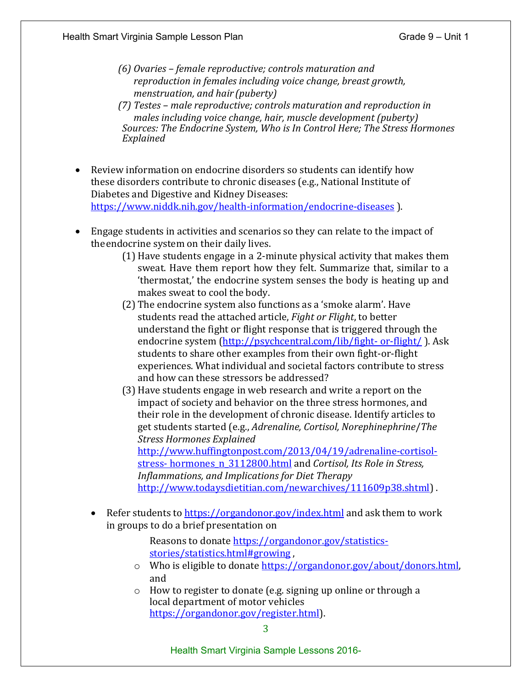- *(6) Ovaries – female reproductive; controls maturation and reproduction in females including voice change, breast growth, menstruation, and hair (puberty)*
- *(7) Testes – male reproductive; controls maturation and reproduction in males including voice change, hair, muscle development (puberty) Sources: The Endocrine System, Who is In Control Here; The Stress Hormones Explained*
- Review information on endocrine disorders so students can identify how these disorders contribute to chronic diseases (e.g., National Institute of Diabetes and Digestive and Kidney Diseases: <https://www.niddk.nih.gov/health-information/endocrine-diseases> ).
- Engage students in activities and scenarios so they can relate to the impact of theendocrine system on their daily lives.
	- (1) Have students engage in a 2-minute physical activity that makes them sweat. Have them report how they felt. Summarize that, similar to a 'thermostat,' the endocrine system senses the body is heating up and makes sweat to cool the body.
	- (2) The endocrine system also functions as a 'smoke alarm'. Have students read the attached article, *Fight or Flight*, to better understand the fight or flight response that is triggered through the endocrine system [\(http://psychcentral.com/lib/fight-](http://psychcentral.com/lib/fight-or-flight/) [or-flight/](http://psychcentral.com/lib/fight-or-flight/) ). Ask students to share other examples from their own fight-or-flight experiences. What individual and societal factors contribute to stress and how can these stressors be addressed?
	- (3) Have students engage in web research and write a report on the impact of society and behavior on the three stress hormones, and their role in the development of chronic disease. Identify articles to get students started (e.g., *Adrenaline, Cortisol, Norephinephrine*/*The Stress Hormones Explained* [http://www.huffingtonpost.com/2013/04/19/adrenaline-cortisol](http://www.huffingtonpost.com/2013/04/19/adrenaline-cortisol-stress-hormones_n_3112800.html)[stress-](http://www.huffingtonpost.com/2013/04/19/adrenaline-cortisol-stress-hormones_n_3112800.html) [hormones\\_n\\_3112800.html](http://www.huffingtonpost.com/2013/04/19/adrenaline-cortisol-stress-hormones_n_3112800.html) and *Cortisol, Its Role in Stress,*

*Inflammations, and Implications for Diet Therap[y](http://www.todaysdietitian.com/newarchives/111609p38.shtml)* [http://www.todaysdietitian.com/newarchives/111609p38.shtml\)](http://www.todaysdietitian.com/newarchives/111609p38.shtml) .

• Refer students to <https://organdonor.gov/index.html> and ask them to work in groups to do a brief presentation on

> Reasons to donate [https://organdonor.gov/statistics](https://organdonor.gov/statistics-stories/statistics.html#growing)[stories/statistics.html#growing](https://organdonor.gov/statistics-stories/statistics.html#growing) ,

o Who is eligible to donate [https://organdonor.gov/about/donors.html,](https://organdonor.gov/about/donors.html) and

o How to register to donate (e.g. signing up online or through a local department of motor vehicles [https://organdonor.gov/register.html\)](https://organdonor.gov/register.html).

Health Smart Virginia Sample Lessons 2016-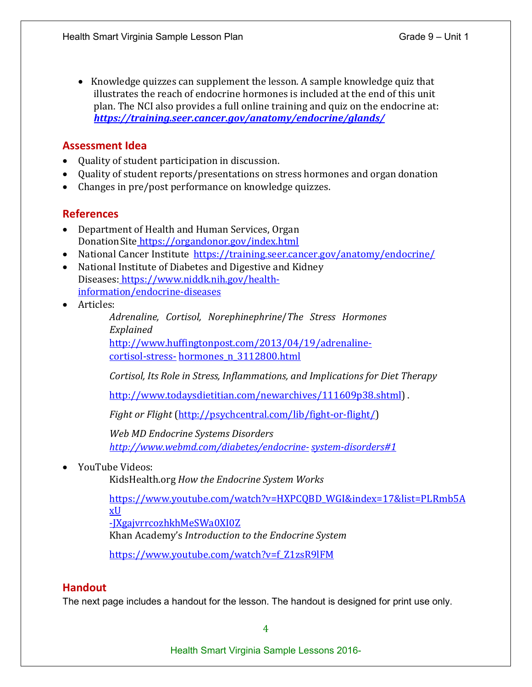• Knowledge quizzes can supplement the lesson. A sample knowledge quiz that illustrates the reach of endocrine hormones is included at the end of this unit plan. The NCI also provides a full online training and quiz on the endocrine at[:](https://training.seer.cancer.gov/anatomy/endocrine/glands/) *<https://training.seer.cancer.gov/anatomy/endocrine/glands/>*

### **Assessment Idea**

- Quality of student participation in discussion.
- Quality of student reports/presentations on stress hormones and organ donation
- Changes in pre/post performance on knowledge quizzes.

#### **References**

- Department of Health and Human Services, Organ DonationSite <https://organdonor.gov/index.html>
- National Cancer Institute <https://training.seer.cancer.gov/anatomy/endocrine/>
- National Institute of Diabetes and Digestive and Kidney Diseases: [https://www.niddk.nih.gov/health](https://www.niddk.nih.gov/health-information/endocrine-diseases)[information/endocrine-diseases](https://www.niddk.nih.gov/health-information/endocrine-diseases)
- Articles:

*Adrenaline, Cortisol, Norephinephrine*/*The Stress Hormones Explained* 

[http://www.huffingtonpost.com/2013/04/19/adrenaline](http://www.huffingtonpost.com/2013/04/19/adrenaline-cortisol-stress-hormones_n_3112800.html)[cortisol-stress-](http://www.huffingtonpost.com/2013/04/19/adrenaline-cortisol-stress-hormones_n_3112800.html) [hormones\\_n\\_3112800.html](http://www.huffingtonpost.com/2013/04/19/adrenaline-cortisol-stress-hormones_n_3112800.html)

*Cortisol, Its Role in Stress, Inflammations, and Implications for Diet Therapy*

[http://www.todaysdietitian.com/newarchives/111609p38.shtml\)](http://www.todaysdietitian.com/newarchives/111609p38.shtml) .

*Fight or Flight* [\(http://psychcentral.com/lib/fight-or-flight/\)](http://psychcentral.com/lib/fight-or-flight/)

*Web MD Endocrine Systems Disorders [http://www.webmd.com/diabetes/endocrine-](http://www.webmd.com/diabetes/endocrine-system-disorders#1) [system-disorders#1](http://www.webmd.com/diabetes/endocrine-system-disorders#1)*

• YouTube Videos:

KidsHealth.org *How the Endocrine System Works*

[https://www.youtube.com/watch?v=HXPCQBD\\_WGI&index=17&list=PLRmb5A](https://www.youtube.com/watch?v=HXPCQBD_WGI&index=17&list=PLRmb5AxU-JXgajvrrcozhkhMeSWa0XI0Z) [xU](https://www.youtube.com/watch?v=HXPCQBD_WGI&index=17&list=PLRmb5AxU-JXgajvrrcozhkhMeSWa0XI0Z)

[-JXgajvrrcozhkhMeSWa0XI0Z](https://www.youtube.com/watch?v=HXPCQBD_WGI&index=17&list=PLRmb5AxU-JXgajvrrcozhkhMeSWa0XI0Z)

Khan Academy's *Introduction to the Endocrine System*

[https://www.youtube.com/watch?v=f\\_Z1zsR9lFM](https://www.youtube.com/watch?v=f_Z1zsR9lFM)

#### **Handout**

The next page includes a handout for the lesson. The handout is designed for print use only.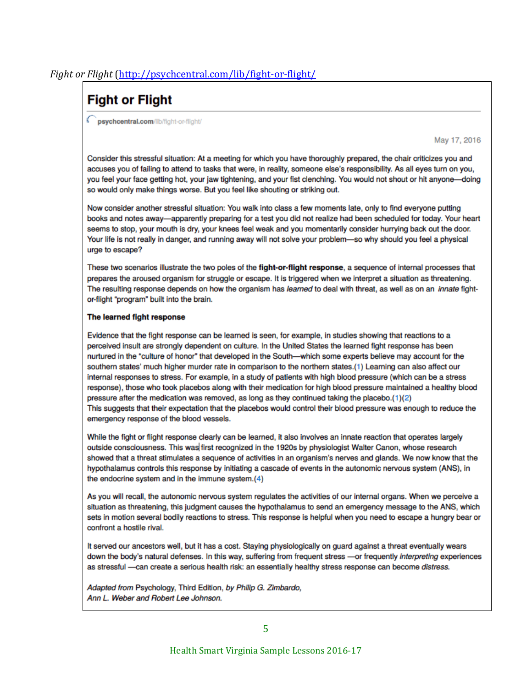#### Fight or Flight (http://psychcentral.com/lib/fight-or-flight/

# **Fight or Flight**

psychcentral.com/lib/fight-or-flight/

May 17, 2016

Consider this stressful situation: At a meeting for which you have thoroughly prepared, the chair criticizes you and accuses you of failing to attend to tasks that were, in reality, someone else's responsibility. As all eyes turn on you, you feel your face getting hot, your jaw tightening, and your fist clenching. You would not shout or hit anyone-doing so would only make things worse. But you feel like shouting or striking out.

Now consider another stressful situation: You walk into class a few moments late, only to find everyone putting books and notes away—apparently preparing for a test you did not realize had been scheduled for today. Your heart seems to stop, your mouth is dry, your knees feel weak and you momentarily consider hurrying back out the door. Your life is not really in danger, and running away will not solve your problem-so why should you feel a physical urge to escape?

These two scenarios illustrate the two poles of the fight-or-flight response, a sequence of internal processes that prepares the aroused organism for struggle or escape. It is triggered when we interpret a situation as threatening. The resulting response depends on how the organism has learned to deal with threat, as well as on an *innate* fightor-flight "program" built into the brain.

#### The learned fight response

Evidence that the fight response can be learned is seen, for example, in studies showing that reactions to a perceived insult are strongly dependent on culture. In the United States the learned fight response has been nurtured in the "culture of honor" that developed in the South-which some experts believe may account for the southern states' much higher murder rate in comparison to the northern states.(1) Learning can also affect our internal responses to stress. For example, in a study of patients with high blood pressure (which can be a stress response), those who took placebos along with their medication for high blood pressure maintained a healthy blood pressure after the medication was removed, as long as they continued taking the placebo. $(1)(2)$ This suggests that their expectation that the placebos would control their blood pressure was enough to reduce the emergency response of the blood vessels.

While the fight or flight response clearly can be learned, it also involves an innate reaction that operates largely outside consciousness. This was first recognized in the 1920s by physiologist Walter Canon, whose research showed that a threat stimulates a sequence of activities in an organism's nerves and glands. We now know that the hypothalamus controls this response by initiating a cascade of events in the autonomic nervous system (ANS), in the endocrine system and in the immune system.(4)

As you will recall, the autonomic nervous system regulates the activities of our internal organs. When we perceive a situation as threatening, this judgment causes the hypothalamus to send an emergency message to the ANS, which sets in motion several bodily reactions to stress. This response is helpful when you need to escape a hungry bear or confront a hostile rival.

It served our ancestors well, but it has a cost. Staying physiologically on guard against a threat eventually wears down the body's natural defenses. In this way, suffering from frequent stress - or frequently interpreting experiences as stressful -can create a serious health risk: an essentially healthy stress response can become distress.

Adapted from Psychology, Third Edition, by Philip G. Zimbardo, Ann L. Weber and Robert Lee Johnson.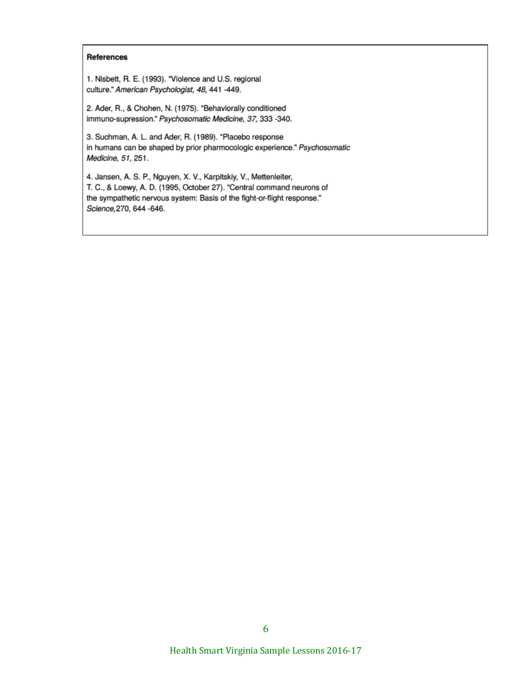#### **References**

1. Nisbett, R. E. (1993). "Violence and U.S. regional culture." American Psychologist, 48, 441 -449.

2. Ader, R., & Chohen, N. (1975). "Behaviorally conditioned immuno-supression." Psychosomatic Medicine, 37, 333 -340.

3. Suchman, A. L. and Ader, R. (1989). "Placebo response in humans can be shaped by prior pharmocologic experience." Psychosomatic Medicine, 51, 251.

4. Jansen, A. S. P., Nguyen, X. V., Karpitskiy, V., Mettenleiter, T. C., & Loewy, A. D. (1995, October 27). "Central command neurons of the sympathetic nervous system: Basis of the fight-or-flight response." Science, 270, 644 -646.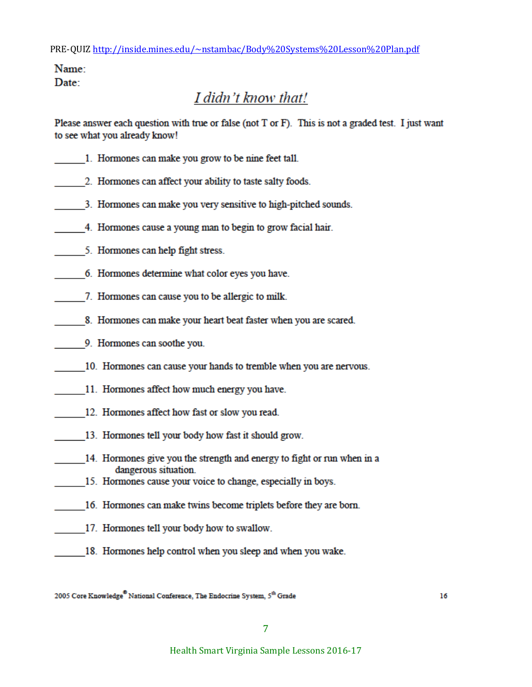PRE-QUIZ http://inside.mines.edu/~nstambac/Body%20Systems%20Lesson%20Plan.pdf

Name:

Date:

# I didn't know that!

Please answer each question with true or false (not T or F). This is not a graded test. I just want to see what you already know!

- - 1. Hormones can make you grow to be nine feet tall.
	- 2. Hormones can affect your ability to taste salty foods.
	- 3. Hormones can make you very sensitive to high-pitched sounds.
	- 4. Hormones cause a young man to begin to grow facial hair.
	- 5. Hormones can help fight stress.
	- 6. Hormones determine what color eyes you have.
	- 7. Hormones can cause you to be allergic to milk.
	- 8. Hormones can make your heart beat faster when you are scared.
	- 9. Hormones can soothe you.
	- 10. Hormones can cause your hands to tremble when you are nervous.
	- 11. Hormones affect how much energy you have.
	- 12. Hormones affect how fast or slow you read.
	- 13. Hormones tell your body how fast it should grow.
	- 14. Hormones give you the strength and energy to fight or run when in a dangerous situation.
	- 15. Hormones cause your voice to change, especially in boys.
	- 16. Hormones can make twins become triplets before they are born.
	- 17. Hormones tell your body how to swallow.
		- 18. Hormones help control when you sleep and when you wake.

2005 Core Knowledge<sup>®</sup> National Conference, The Endocrine System, 5<sup>th</sup> Grade